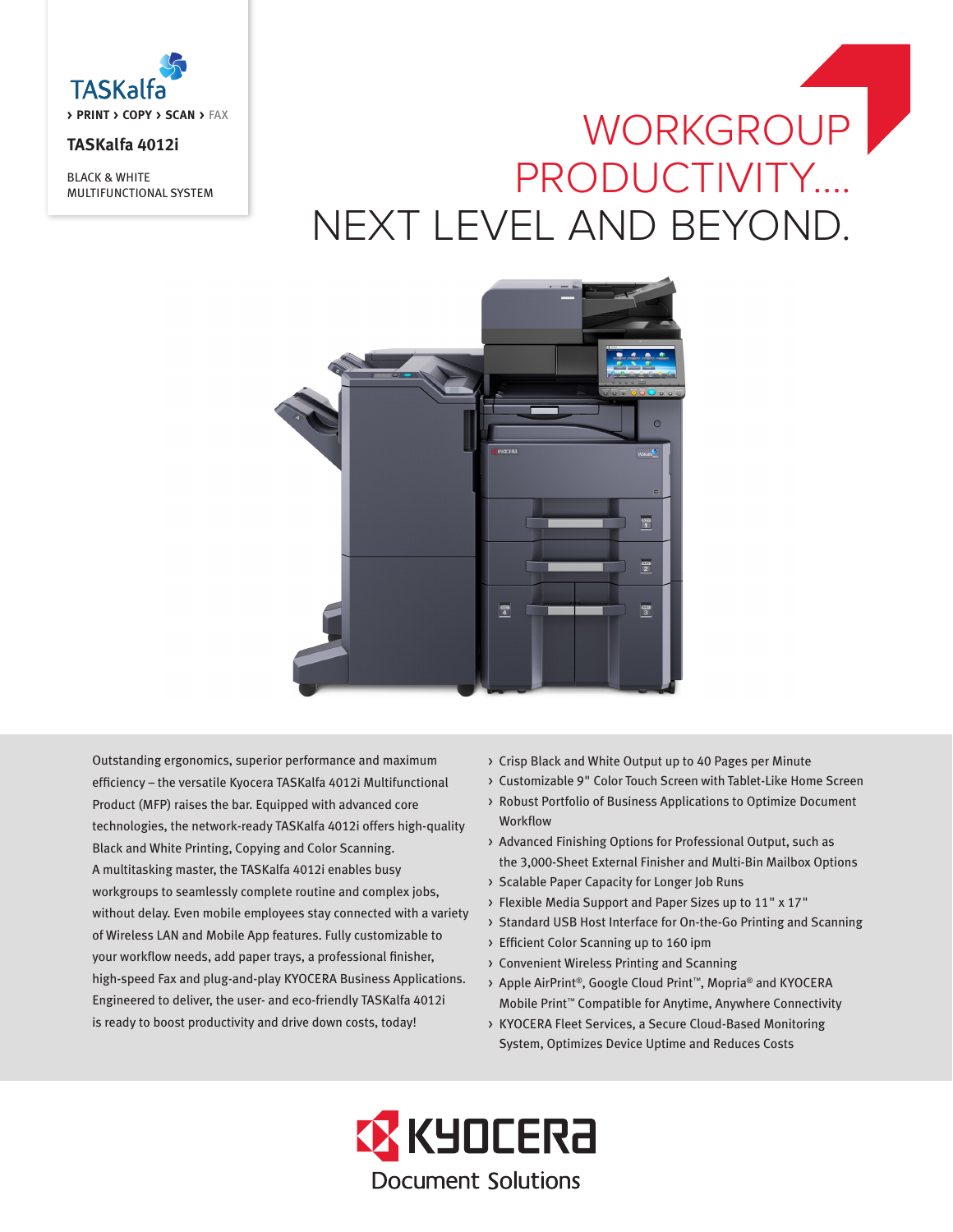

## **TASKalfa 4012i**

BLACK & WHITE MULTIFUNCTIONAL SYSTEM

# WORKGROUP PRODUCTIVITY…. NEXT LEVEL AND BEYOND.



Outstanding ergonomics, superior performance and maximum efficiency – the versatile Kyocera TASKalfa 4012i Multifunctional Product (MFP) raises the bar. Equipped with advanced core technologies, the network-ready TASKalfa 4012i offers high-quality Black and White Printing, Copying and Color Scanning. A multitasking master, the TASKalfa 4012i enables busy workgroups to seamlessly complete routine and complex jobs, without delay. Even mobile employees stay connected with a variety of Wireless LAN and Mobile App features. Fully customizable to your workflow needs, add paper trays, a professional finisher, high-speed Fax and plug-and-play KYOCERA Business Applications. Engineered to deliver, the user- and eco-friendly TASKalfa 4012i is ready to boost productivity and drive down costs, today!

- > Crisp Black and White Output up to 40 Pages per Minute
- > Customizable 9" Color Touch Screen with Tablet-Like Home Screen
- > Robust Portfolio of Business Applications to Optimize Document Workflow
- > Advanced Finishing Options for Professional Output, such as the 3,000-Sheet External Finisher and Multi-Bin Mailbox Options
- > Scalable Paper Capacity for Longer Job Runs
- > Flexible Media Support and Paper Sizes up to 11" x 17"
- > Standard USB Host Interface for On-the-Go Printing and Scanning
- > Efficient Color Scanning up to 160 ipm
- > Convenient Wireless Printing and Scanning
- > Apple AirPrint®, Google Cloud Print™, Mopria® and KYOCERA Mobile Print™ Compatible for Anytime, Anywhere Connectivity
- > KYOCERA Fleet Services, a Secure Cloud-Based Monitoring System, Optimizes Device Uptime and Reduces Costs